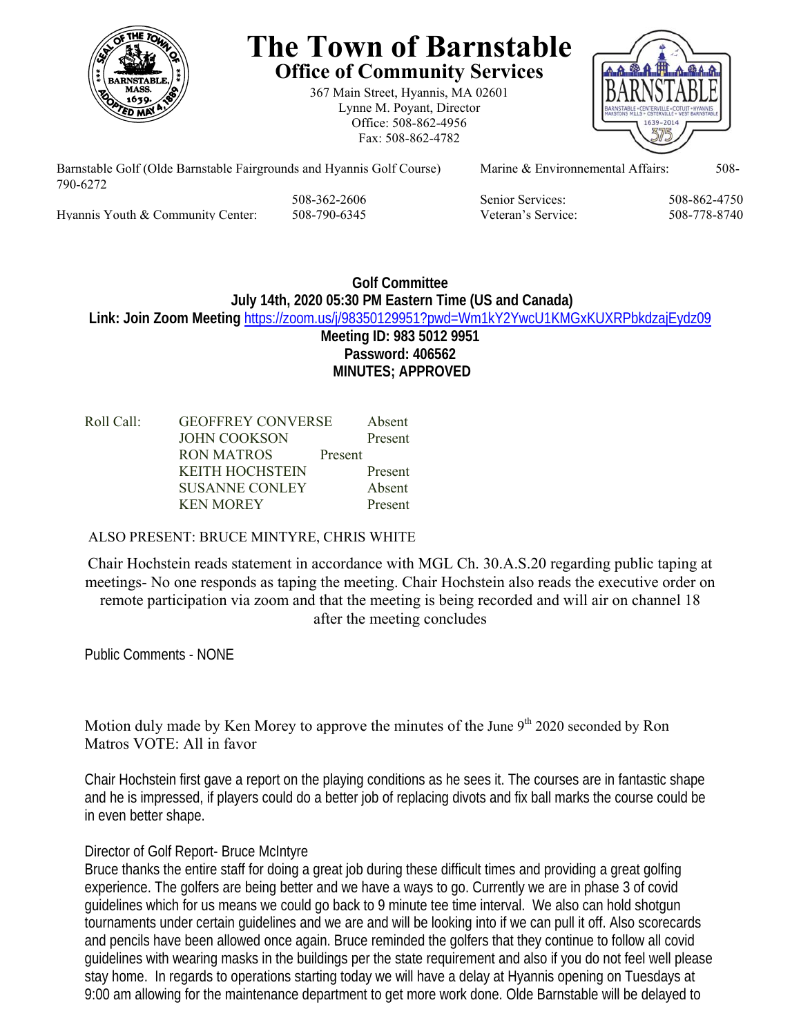

# **The Town of Barnstable Office of Community Services**

367 Main Street, Hyannis, MA 02601 Lynne M. Poyant, Director Office: 508-862-4956 Fax: 508-862-4782



Barnstable Golf (Olde Barnstable Fairgrounds and Hyannis Golf Course) Marine & Environnemental Affairs: 508-790-6272 508-362-2606 Senior Services: 508-862-4750

Hyannis Youth & Community Center: 508-790-6345 Veteran's Service: 508-778-8740

## **Golf Committee July 14th, 2020 05:30 PM Eastern Time (US and Canada) Link: Join Zoom Meeting** https://zoom.us/j/98350129951?pwd=Wm1kY2YwcU1KMGxKUXRPbkdzajEydz09 **Meeting ID: 983 5012 9951 Password: 406562 MINUTES; APPROVED**

| Roll Call: | <b>GEOFFREY CONVERSE</b> |         | Absent  |
|------------|--------------------------|---------|---------|
|            | <b>JOHN COOKSON</b>      |         | Present |
|            | RON MATROS               | Present |         |
|            | <b>KEITH HOCHSTEIN</b>   |         | Present |
|            | <b>SUSANNE CONLEY</b>    |         | Absent  |
|            | <b>KEN MOREY</b>         |         | Present |

## ALSO PRESENT: BRUCE MINTYRE, CHRIS WHITE

Chair Hochstein reads statement in accordance with MGL Ch. 30.A.S.20 regarding public taping at meetings- No one responds as taping the meeting. Chair Hochstein also reads the executive order on remote participation via zoom and that the meeting is being recorded and will air on channel 18 after the meeting concludes

Public Comments - NONE

Motion duly made by Ken Morey to approve the minutes of the June  $9<sup>th</sup> 2020$  seconded by Ron Matros VOTE: All in favor

Chair Hochstein first gave a report on the playing conditions as he sees it. The courses are in fantastic shape and he is impressed, if players could do a better job of replacing divots and fix ball marks the course could be in even better shape.

# Director of Golf Report- Bruce McIntyre

Bruce thanks the entire staff for doing a great job during these difficult times and providing a great golfing experience. The golfers are being better and we have a ways to go. Currently we are in phase 3 of covid guidelines which for us means we could go back to 9 minute tee time interval. We also can hold shotgun tournaments under certain guidelines and we are and will be looking into if we can pull it off. Also scorecards and pencils have been allowed once again. Bruce reminded the golfers that they continue to follow all covid guidelines with wearing masks in the buildings per the state requirement and also if you do not feel well please stay home. In regards to operations starting today we will have a delay at Hyannis opening on Tuesdays at 9:00 am allowing for the maintenance department to get more work done. Olde Barnstable will be delayed to